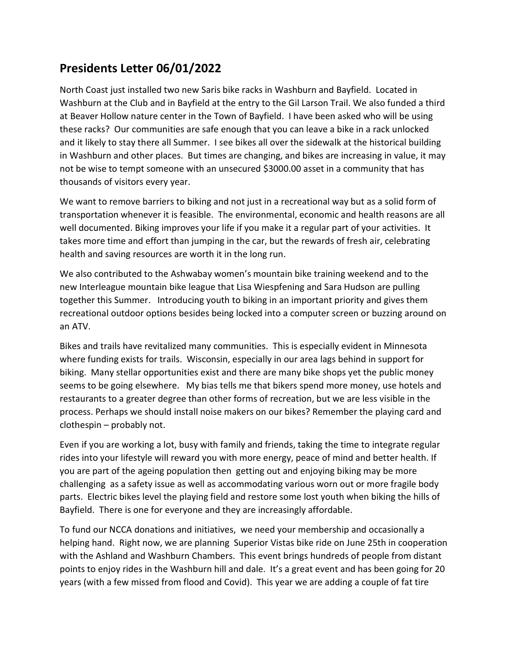## Presidents Letter 06/01/2022

North Coast just installed two new Saris bike racks in Washburn and Bayfield. Located in Washburn at the Club and in Bayfield at the entry to the Gil Larson Trail. We also funded a third at Beaver Hollow nature center in the Town of Bayfield. I have been asked who will be using these racks? Our communities are safe enough that you can leave a bike in a rack unlocked and it likely to stay there all Summer. I see bikes all over the sidewalk at the historical building in Washburn and other places. But times are changing, and bikes are increasing in value, it may not be wise to tempt someone with an unsecured \$3000.00 asset in a community that has thousands of visitors every year.

We want to remove barriers to biking and not just in a recreational way but as a solid form of transportation whenever it is feasible. The environmental, economic and health reasons are all well documented. Biking improves your life if you make it a regular part of your activities. It takes more time and effort than jumping in the car, but the rewards of fresh air, celebrating health and saving resources are worth it in the long run.

We also contributed to the Ashwabay women's mountain bike training weekend and to the new Interleague mountain bike league that Lisa Wiespfening and Sara Hudson are pulling together this Summer. Introducing youth to biking in an important priority and gives them recreational outdoor options besides being locked into a computer screen or buzzing around on an ATV.

Bikes and trails have revitalized many communities. This is especially evident in Minnesota where funding exists for trails. Wisconsin, especially in our area lags behind in support for biking. Many stellar opportunities exist and there are many bike shops yet the public money seems to be going elsewhere. My bias tells me that bikers spend more money, use hotels and restaurants to a greater degree than other forms of recreation, but we are less visible in the process. Perhaps we should install noise makers on our bikes? Remember the playing card and clothespin – probably not.

Even if you are working a lot, busy with family and friends, taking the time to integrate regular rides into your lifestyle will reward you with more energy, peace of mind and better health. If you are part of the ageing population then getting out and enjoying biking may be more challenging as a safety issue as well as accommodating various worn out or more fragile body parts. Electric bikes level the playing field and restore some lost youth when biking the hills of Bayfield. There is one for everyone and they are increasingly affordable.

To fund our NCCA donations and initiatives, we need your membership and occasionally a helping hand. Right now, we are planning Superior Vistas bike ride on June 25th in cooperation with the Ashland and Washburn Chambers. This event brings hundreds of people from distant points to enjoy rides in the Washburn hill and dale. It's a great event and has been going for 20 years (with a few missed from flood and Covid). This year we are adding a couple of fat tire